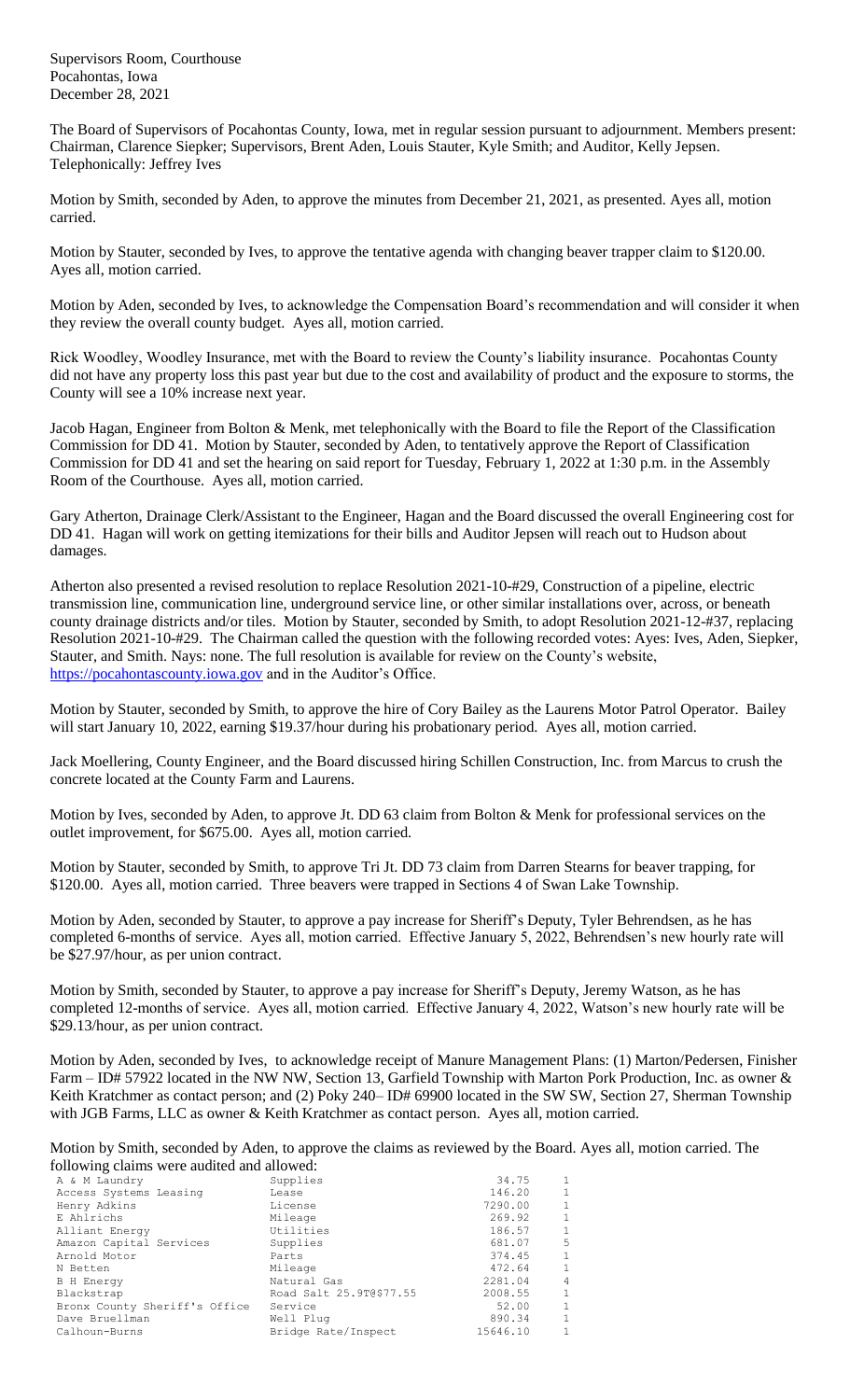Supervisors Room, Courthouse Pocahontas, Iowa December 28, 2021

The Board of Supervisors of Pocahontas County, Iowa, met in regular session pursuant to adjournment. Members present: Chairman, Clarence Siepker; Supervisors, Brent Aden, Louis Stauter, Kyle Smith; and Auditor, Kelly Jepsen. Telephonically: Jeffrey Ives

Motion by Smith, seconded by Aden, to approve the minutes from December 21, 2021, as presented. Ayes all, motion carried.

Motion by Stauter, seconded by Ives, to approve the tentative agenda with changing beaver trapper claim to \$120.00. Ayes all, motion carried.

Motion by Aden, seconded by Ives, to acknowledge the Compensation Board's recommendation and will consider it when they review the overall county budget. Ayes all, motion carried.

Rick Woodley, Woodley Insurance, met with the Board to review the County's liability insurance. Pocahontas County did not have any property loss this past year but due to the cost and availability of product and the exposure to storms, the County will see a 10% increase next year.

Jacob Hagan, Engineer from Bolton & Menk, met telephonically with the Board to file the Report of the Classification Commission for DD 41. Motion by Stauter, seconded by Aden, to tentatively approve the Report of Classification Commission for DD 41 and set the hearing on said report for Tuesday, February 1, 2022 at 1:30 p.m. in the Assembly Room of the Courthouse. Ayes all, motion carried.

Gary Atherton, Drainage Clerk/Assistant to the Engineer, Hagan and the Board discussed the overall Engineering cost for DD 41. Hagan will work on getting itemizations for their bills and Auditor Jepsen will reach out to Hudson about damages.

Atherton also presented a revised resolution to replace Resolution 2021-10-#29, Construction of a pipeline, electric transmission line, communication line, underground service line, or other similar installations over, across, or beneath county drainage districts and/or tiles. Motion by Stauter, seconded by Smith, to adopt Resolution 2021-12-#37, replacing Resolution 2021-10-#29. The Chairman called the question with the following recorded votes: Ayes: Ives, Aden, Siepker, Stauter, and Smith. Nays: none. The full resolution is available for review on the County's website, [https://pocahontascounty.iowa.gov](https://pocahontascounty.iowa.gov/) and in the Auditor's Office.

Motion by Stauter, seconded by Smith, to approve the hire of Cory Bailey as the Laurens Motor Patrol Operator. Bailey will start January 10, 2022, earning \$19.37/hour during his probationary period. Ayes all, motion carried.

Jack Moellering, County Engineer, and the Board discussed hiring Schillen Construction, Inc. from Marcus to crush the concrete located at the County Farm and Laurens.

Motion by Ives, seconded by Aden, to approve Jt. DD 63 claim from Bolton & Menk for professional services on the outlet improvement, for \$675.00. Ayes all, motion carried.

Motion by Stauter, seconded by Smith, to approve Tri Jt. DD 73 claim from Darren Stearns for beaver trapping, for \$120.00. Ayes all, motion carried. Three beavers were trapped in Sections 4 of Swan Lake Township.

Motion by Aden, seconded by Stauter, to approve a pay increase for Sheriff's Deputy, Tyler Behrendsen, as he has completed 6-months of service. Ayes all, motion carried. Effective January 5, 2022, Behrendsen's new hourly rate will be \$27.97/hour, as per union contract.

Motion by Smith, seconded by Stauter, to approve a pay increase for Sheriff's Deputy, Jeremy Watson, as he has completed 12-months of service. Ayes all, motion carried. Effective January 4, 2022, Watson's new hourly rate will be \$29.13/hour, as per union contract.

Motion by Aden, seconded by Ives, to acknowledge receipt of Manure Management Plans: (1) Marton/Pedersen, Finisher Farm – ID# 57922 located in the NW NW, Section 13, Garfield Township with Marton Pork Production, Inc. as owner & Keith Kratchmer as contact person; and (2) Poky 240– ID# 69900 located in the SW SW, Section 27, Sherman Township with JGB Farms, LLC as owner & Keith Kratchmer as contact person. Ayes all, motion carried.

Motion by Smith, seconded by Aden, to approve the claims as reviewed by the Board. Ayes all, motion carried. The following claims were audited and allowed:

| A & M Laundry                 | Supplies                | 34.75    | $\overline{1}$ |
|-------------------------------|-------------------------|----------|----------------|
| Access Systems Leasing        | Lease                   | 146.20   | $\mathbf{1}$   |
| Henry Adkins                  | License                 | 7290.00  | $\mathbf{1}$   |
| E Ahlrichs                    | Mileage                 | 269.92   | $\mathbf{1}$   |
| Alliant Energy                | Utilities               | 186.57   | $\mathbf{1}$   |
| Amazon Capital Services       | Supplies                | 681.07   | .5             |
| Arnold Motor                  | Parts                   | 374.45   | $\overline{1}$ |
| N Betten                      | Mileage                 | 472.64   | $\mathbf{1}$   |
| <b>B</b> H Energy             | Natural Gas             | 2281.04  | 4              |
| Blackstrap                    | Road Salt 25.9T@\$77.55 | 2008.55  | $\mathbf{1}$   |
| Bronx County Sheriff's Office | Service                 | 52.00    | $\mathbf{1}$   |
| Dave Bruellman                | Well Plug               | 890.34   | $\overline{1}$ |
| Calhoun-Burns                 | Bridge Rate/Inspect     | 15646.10 | $\mathbf{1}$   |
|                               |                         |          |                |